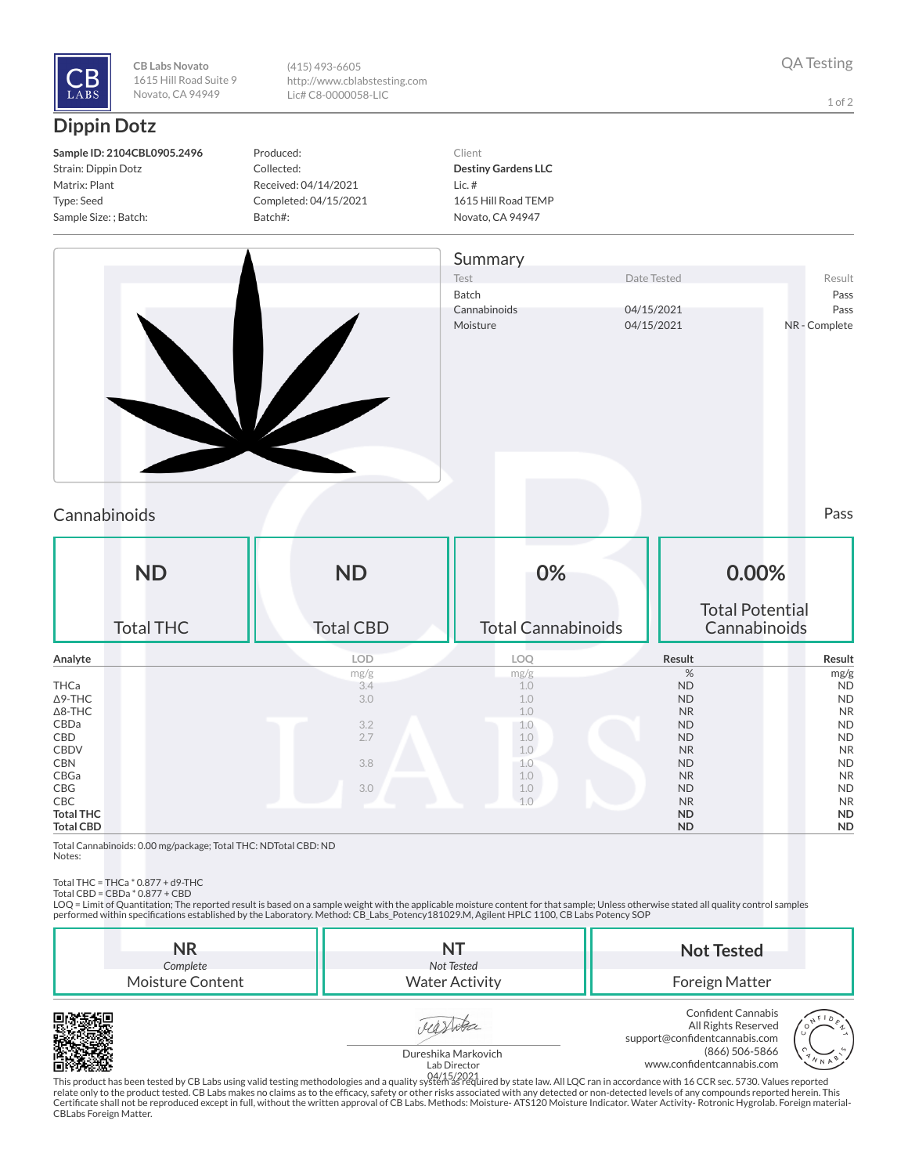

**CB Labs Novato** 1615 Hill Road Suite 9 Novato, CA 94949

(415) 493-6605 http://www.cblabstesting.com Lic# C8-0000058-LIC

1 of 2

## **Dippin Dotz**

Produced: Collected: Received: 04/14/2021 Completed: 04/15/2021 Batch#:

Client **Destiny Gardens LLC** Lic. # 1615 Hill Road TEMP Novato, CA 94947



## Cannabinoids Pass

| <b>ND</b><br><b>Total THC</b> | <b>ND</b><br><b>Total CBD</b> | 0%<br><b>Total Cannabinoids</b> | 0.00%<br><b>Total Potential</b><br>Cannabinoids |           |
|-------------------------------|-------------------------------|---------------------------------|-------------------------------------------------|-----------|
| Analyte                       | <b>LOD</b>                    | LOQ                             | Result                                          | Result    |
|                               | mg/g                          | mg/g                            | %                                               | mg/g      |
| THCa                          | 3.4                           | 1.0                             | <b>ND</b>                                       | <b>ND</b> |
| $\Delta$ 9-THC                | 3.0                           | 1.0                             | <b>ND</b>                                       | <b>ND</b> |
| $\Delta$ 8-THC                |                               | 1.0                             | <b>NR</b>                                       | <b>NR</b> |
| CBDa                          | 3.2                           | 1.0                             | <b>ND</b>                                       | <b>ND</b> |
| CBD                           | 2.7                           | 1.0                             | <b>ND</b>                                       | <b>ND</b> |
| <b>CBDV</b>                   |                               | 1.0                             | <b>NR</b>                                       | <b>NR</b> |
| <b>CBN</b>                    | 3.8                           | 1.0                             | <b>ND</b>                                       | <b>ND</b> |
| CBGa                          |                               | 1.0                             | <b>NR</b>                                       | <b>NR</b> |
| CBG                           | 3.0                           | 1.0                             | <b>ND</b>                                       | <b>ND</b> |
| CBC                           |                               | 1.0                             | <b>NR</b>                                       | <b>NR</b> |
| <b>Total THC</b>              |                               |                                 | <b>ND</b>                                       | <b>ND</b> |
| <b>Total CBD</b>              |                               |                                 | <b>ND</b>                                       | <b>ND</b> |

Total Cannabinoids: 0.00 mg/package; Total THC: NDTotal CBD: ND Notes:

Total THC = THCa \* 0.877 + d9-THC Total CBD = CBDa \* 0.877 + CBD

LOQ = Limit of Quantitation; The reported result is based on a sample weight with the applicable moisture content for that sample; Unless otherwise stated all quality control samples performed within specifications established by the Laboratory. Method: CB\_Labs\_Potency181029.M, Agilent HPLC 1100, CB Labs Potency SOP

| NR<br>Complete   | Not Tested            | <b>Not Tested</b>                                                                                                   |
|------------------|-----------------------|---------------------------------------------------------------------------------------------------------------------|
| Moisture Content | <b>Water Activity</b> | Foreign Matter                                                                                                      |
|                  |                       | Confident Cannabis<br>F <sub>0</sub><br>All Rights Reserved<br>All Rights Reserved<br>support@confidentcannabis.com |



Dureshika Markovich





Lab Director

This product has been tested by CB Labs using valid testing methodologies and a quality system as required by state law. All LQC ran in accordance with 16 CCR sec. 5730. Values reported 04/15/2021relate only to the product tested. CB Labs makes no claims as to the efcacy, safety or other risks associated with any detected or non-detected levels of any compounds reported herein. This Certificate shall not be reproduced except in full, without the written approval of CB Labs. Methods: Moisture- ATS120 Moisture Indicator. Water Activity- Rotronic Hygrolab. Foreign material-<br>CBLabs Foreign Matter.